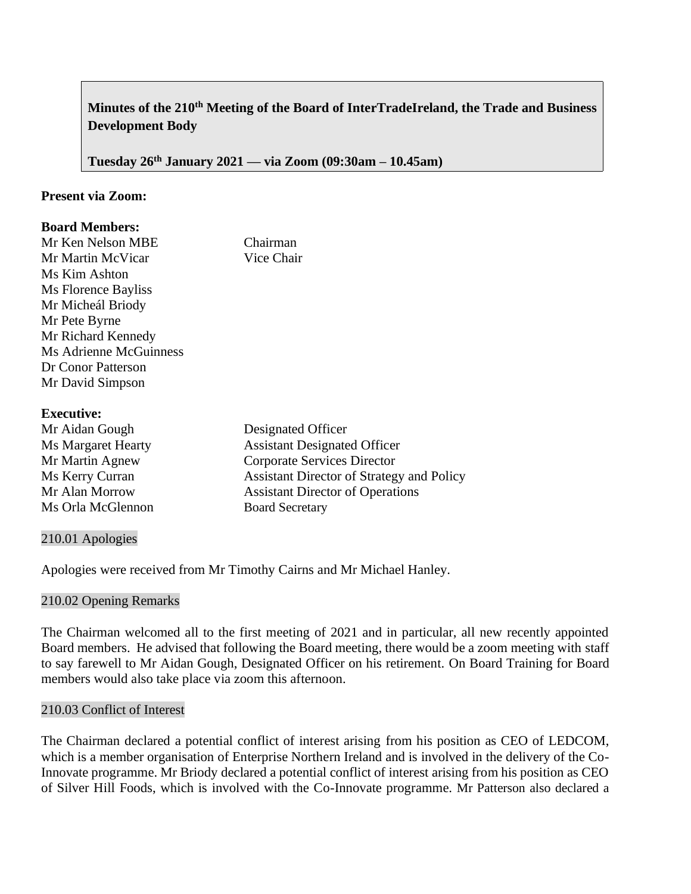# **Minutes of the 210th Meeting of the Board of InterTradeIreland, the Trade and Business Development Body**

**Tuesday 26th January 2021 –– via Zoom (09:30am – 10.45am)**

# **Present via Zoom:**

## **Board Members:**

| Mr Ken Nelson MBE      | Chairman   |
|------------------------|------------|
| Mr Martin McVicar      | Vice Chair |
| Ms Kim Ashton          |            |
| Ms Florence Bayliss    |            |
| Mr Micheál Briody      |            |
| Mr Pete Byrne          |            |
| Mr Richard Kennedy     |            |
| Ms Adrienne McGuinness |            |
| Dr Conor Patterson     |            |
| Mr David Simpson       |            |
|                        |            |

### **Executive:**

| Mr Aidan Gough            | Designated Officer                               |
|---------------------------|--------------------------------------------------|
| <b>Ms Margaret Hearty</b> | <b>Assistant Designated Officer</b>              |
| Mr Martin Agnew           | <b>Corporate Services Director</b>               |
| Ms Kerry Curran           | <b>Assistant Director of Strategy and Policy</b> |
| Mr Alan Morrow            | <b>Assistant Director of Operations</b>          |
| Ms Orla McGlennon         | <b>Board Secretary</b>                           |
|                           |                                                  |

### 210.01 Apologies

Apologies were received from Mr Timothy Cairns and Mr Michael Hanley.

### 210.02 Opening Remarks

The Chairman welcomed all to the first meeting of 2021 and in particular, all new recently appointed Board members. He advised that following the Board meeting, there would be a zoom meeting with staff to say farewell to Mr Aidan Gough, Designated Officer on his retirement. On Board Training for Board members would also take place via zoom this afternoon.

## 210.03 Conflict of Interest

The Chairman declared a potential conflict of interest arising from his position as CEO of LEDCOM, which is a member organisation of Enterprise Northern Ireland and is involved in the delivery of the Co-Innovate programme. Mr Briody declared a potential conflict of interest arising from his position as CEO of Silver Hill Foods, which is involved with the Co-Innovate programme. Mr Patterson also declared a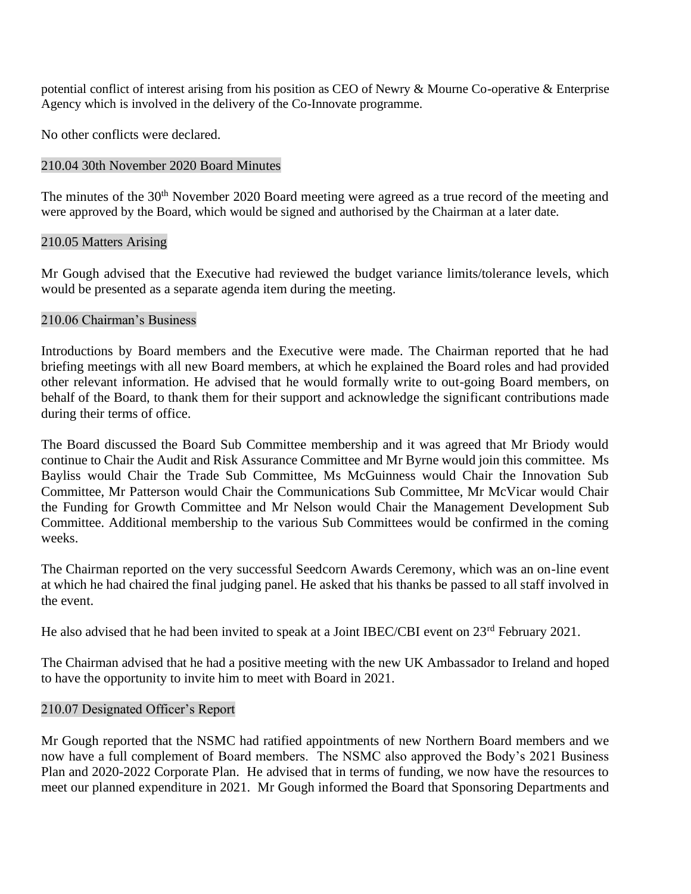potential conflict of interest arising from his position as CEO of Newry & Mourne Co-operative & Enterprise Agency which is involved in the delivery of the Co-Innovate programme.

No other conflicts were declared.

# 210.04 30th November 2020 Board Minutes

The minutes of the 30<sup>th</sup> November 2020 Board meeting were agreed as a true record of the meeting and were approved by the Board, which would be signed and authorised by the Chairman at a later date.

# 210.05 Matters Arising

Mr Gough advised that the Executive had reviewed the budget variance limits/tolerance levels, which would be presented as a separate agenda item during the meeting.

# 210.06 Chairman's Business

Introductions by Board members and the Executive were made. The Chairman reported that he had briefing meetings with all new Board members, at which he explained the Board roles and had provided other relevant information. He advised that he would formally write to out-going Board members, on behalf of the Board, to thank them for their support and acknowledge the significant contributions made during their terms of office.

The Board discussed the Board Sub Committee membership and it was agreed that Mr Briody would continue to Chair the Audit and Risk Assurance Committee and Mr Byrne would join this committee. Ms Bayliss would Chair the Trade Sub Committee, Ms McGuinness would Chair the Innovation Sub Committee, Mr Patterson would Chair the Communications Sub Committee, Mr McVicar would Chair the Funding for Growth Committee and Mr Nelson would Chair the Management Development Sub Committee. Additional membership to the various Sub Committees would be confirmed in the coming weeks.

The Chairman reported on the very successful Seedcorn Awards Ceremony, which was an on-line event at which he had chaired the final judging panel. He asked that his thanks be passed to all staff involved in the event.

He also advised that he had been invited to speak at a Joint IBEC/CBI event on 23<sup>rd</sup> February 2021.

The Chairman advised that he had a positive meeting with the new UK Ambassador to Ireland and hoped to have the opportunity to invite him to meet with Board in 2021.

### 210.07 Designated Officer's Report

Mr Gough reported that the NSMC had ratified appointments of new Northern Board members and we now have a full complement of Board members. The NSMC also approved the Body's 2021 Business Plan and 2020-2022 Corporate Plan. He advised that in terms of funding, we now have the resources to meet our planned expenditure in 2021. Mr Gough informed the Board that Sponsoring Departments and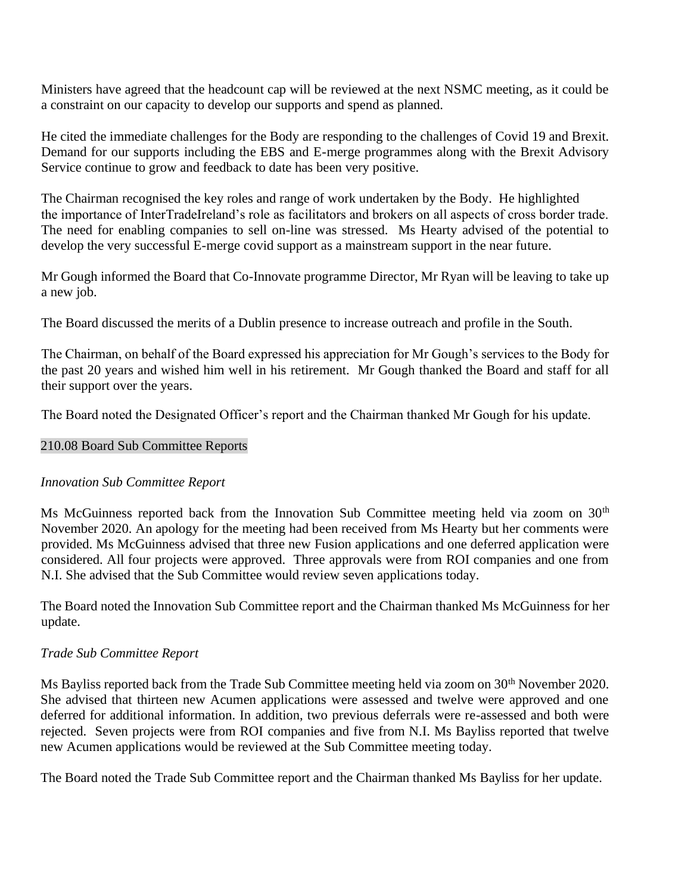Ministers have agreed that the headcount cap will be reviewed at the next NSMC meeting, as it could be a constraint on our capacity to develop our supports and spend as planned.

He cited the immediate challenges for the Body are responding to the challenges of Covid 19 and Brexit. Demand for our supports including the EBS and E-merge programmes along with the Brexit Advisory Service continue to grow and feedback to date has been very positive.

The Chairman recognised the key roles and range of work undertaken by the Body. He highlighted the importance of InterTradeIreland's role as facilitators and brokers on all aspects of cross border trade. The need for enabling companies to sell on-line was stressed. Ms Hearty advised of the potential to develop the very successful E-merge covid support as a mainstream support in the near future.

Mr Gough informed the Board that Co-Innovate programme Director, Mr Ryan will be leaving to take up a new job.

The Board discussed the merits of a Dublin presence to increase outreach and profile in the South.

The Chairman, on behalf of the Board expressed his appreciation for Mr Gough's services to the Body for the past 20 years and wished him well in his retirement. Mr Gough thanked the Board and staff for all their support over the years.

The Board noted the Designated Officer's report and the Chairman thanked Mr Gough for his update.

### 210.08 Board Sub Committee Reports

### *Innovation Sub Committee Report*

Ms McGuinness reported back from the Innovation Sub Committee meeting held via zoom on 30<sup>th</sup> November 2020. An apology for the meeting had been received from Ms Hearty but her comments were provided. Ms McGuinness advised that three new Fusion applications and one deferred application were considered. All four projects were approved. Three approvals were from ROI companies and one from N.I. She advised that the Sub Committee would review seven applications today.

The Board noted the Innovation Sub Committee report and the Chairman thanked Ms McGuinness for her update.

### *Trade Sub Committee Report*

Ms Bayliss reported back from the Trade Sub Committee meeting held via zoom on 30<sup>th</sup> November 2020. She advised that thirteen new Acumen applications were assessed and twelve were approved and one deferred for additional information. In addition, two previous deferrals were re-assessed and both were rejected. Seven projects were from ROI companies and five from N.I. Ms Bayliss reported that twelve new Acumen applications would be reviewed at the Sub Committee meeting today.

The Board noted the Trade Sub Committee report and the Chairman thanked Ms Bayliss for her update.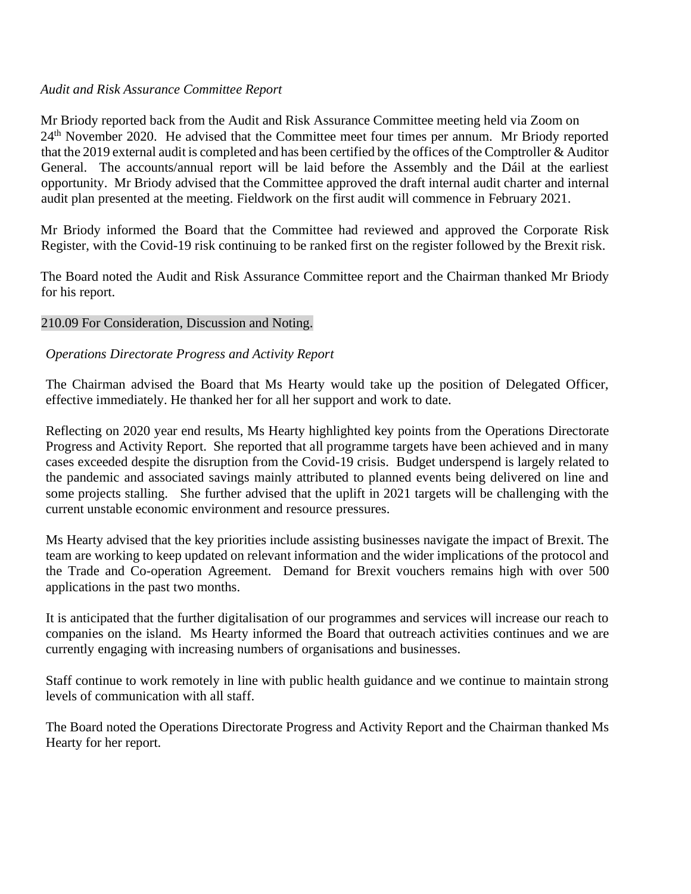## *Audit and Risk Assurance Committee Report*

Mr Briody reported back from the Audit and Risk Assurance Committee meeting held via Zoom on 24th November 2020. He advised that the Committee meet four times per annum. Mr Briody reported that the 2019 external audit is completed and has been certified by the offices of the Comptroller & Auditor General. The accounts/annual report will be laid before the Assembly and the Dáil at the earliest opportunity. Mr Briody advised that the Committee approved the draft internal audit charter and internal audit plan presented at the meeting. Fieldwork on the first audit will commence in February 2021.

Mr Briody informed the Board that the Committee had reviewed and approved the Corporate Risk Register, with the Covid-19 risk continuing to be ranked first on the register followed by the Brexit risk.

The Board noted the Audit and Risk Assurance Committee report and the Chairman thanked Mr Briody for his report.

# 210.09 For Consideration, Discussion and Noting.

# *Operations Directorate Progress and Activity Report*

The Chairman advised the Board that Ms Hearty would take up the position of Delegated Officer, effective immediately. He thanked her for all her support and work to date.

Reflecting on 2020 year end results, Ms Hearty highlighted key points from the Operations Directorate Progress and Activity Report. She reported that all programme targets have been achieved and in many cases exceeded despite the disruption from the Covid-19 crisis. Budget underspend is largely related to the pandemic and associated savings mainly attributed to planned events being delivered on line and some projects stalling. She further advised that the uplift in 2021 targets will be challenging with the current unstable economic environment and resource pressures.

Ms Hearty advised that the key priorities include assisting businesses navigate the impact of Brexit. The team are working to keep updated on relevant information and the wider implications of the protocol and the Trade and Co-operation Agreement. Demand for Brexit vouchers remains high with over 500 applications in the past two months.

It is anticipated that the further digitalisation of our programmes and services will increase our reach to companies on the island. Ms Hearty informed the Board that outreach activities continues and we are currently engaging with increasing numbers of organisations and businesses.

Staff continue to work remotely in line with public health guidance and we continue to maintain strong levels of communication with all staff.

The Board noted the Operations Directorate Progress and Activity Report and the Chairman thanked Ms Hearty for her report.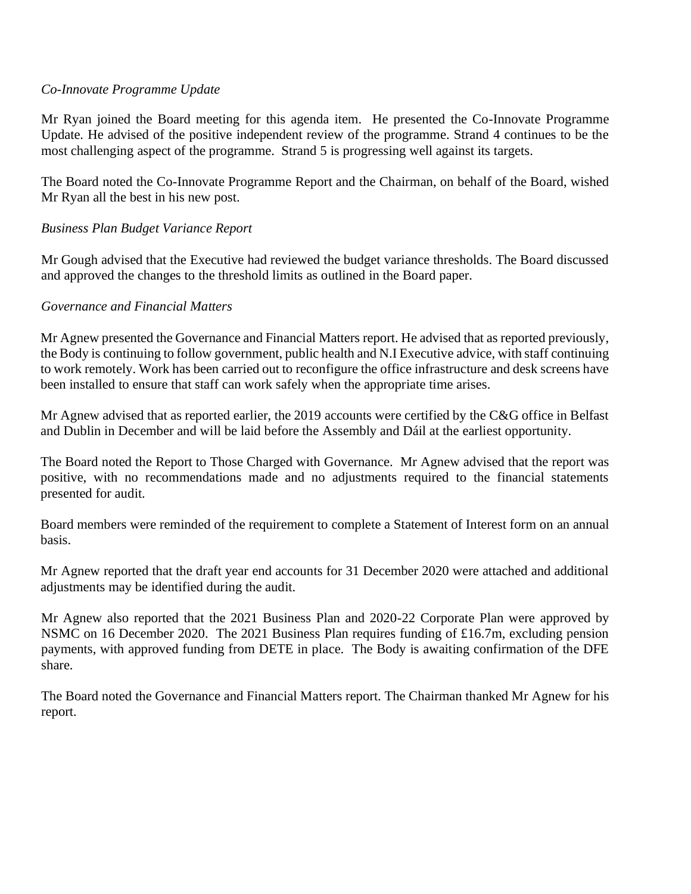# *Co-Innovate Programme Update*

Mr Ryan joined the Board meeting for this agenda item. He presented the Co-Innovate Programme Update. He advised of the positive independent review of the programme. Strand 4 continues to be the most challenging aspect of the programme. Strand 5 is progressing well against its targets.

The Board noted the Co-Innovate Programme Report and the Chairman, on behalf of the Board, wished Mr Ryan all the best in his new post.

# *Business Plan Budget Variance Report*

Mr Gough advised that the Executive had reviewed the budget variance thresholds. The Board discussed and approved the changes to the threshold limits as outlined in the Board paper.

# *Governance and Financial Matters*

Mr Agnew presented the Governance and Financial Matters report. He advised that as reported previously, the Body is continuing to follow government, public health and N.I Executive advice, with staff continuing to work remotely. Work has been carried out to reconfigure the office infrastructure and desk screens have been installed to ensure that staff can work safely when the appropriate time arises.

Mr Agnew advised that as reported earlier, the 2019 accounts were certified by the C&G office in Belfast and Dublin in December and will be laid before the Assembly and Dáil at the earliest opportunity.

The Board noted the Report to Those Charged with Governance. Mr Agnew advised that the report was positive, with no recommendations made and no adjustments required to the financial statements presented for audit.

Board members were reminded of the requirement to complete a Statement of Interest form on an annual basis.

Mr Agnew reported that the draft year end accounts for 31 December 2020 were attached and additional adjustments may be identified during the audit.

Mr Agnew also reported that the 2021 Business Plan and 2020-22 Corporate Plan were approved by NSMC on 16 December 2020. The 2021 Business Plan requires funding of £16.7m, excluding pension payments, with approved funding from DETE in place. The Body is awaiting confirmation of the DFE share.

The Board noted the Governance and Financial Matters report. The Chairman thanked Mr Agnew for his report.